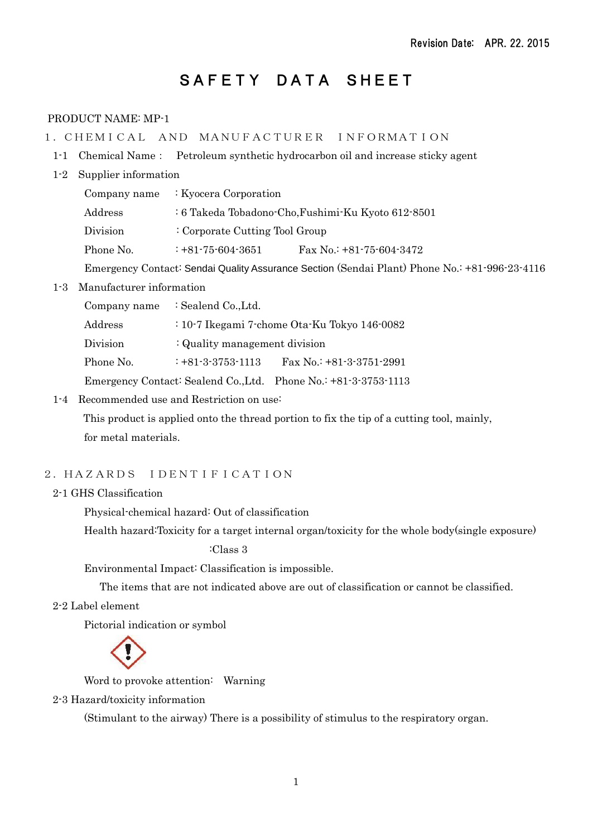# SAFETY DATA SHEET

# PRODUCT NAME: MP-1

- 1.CHEMICAL AND MANUFACTURER INFORMATION
- 1-1 Chemical Name: Petroleum synthetic hydrocarbon oil and increase sticky agent
- 1-2 Supplier information

|           | Company name $\therefore$ Kyocera Corporation                                        |                            |
|-----------|--------------------------------------------------------------------------------------|----------------------------|
| Address   | : 6 Takeda Tobadono-Cho, Fushimi-Ku Kyoto 612-8501<br>: Corporate Cutting Tool Group |                            |
| Division  |                                                                                      |                            |
| Phone No. | $: +81 - 75 - 604 - 3651$                                                            | Fax No.: $+81-75-604-3472$ |

Emergency Contact: Sendai Quality Assurance Section (Sendai Plant) Phone No.: +81-996-23-4116

## 1-3 Manufacturer information

| Company name | : Sealend Co., Ltd.           |                                                                 |  |
|--------------|-------------------------------|-----------------------------------------------------------------|--|
| Address      |                               | $: 10-7$ Ikegami 7-chome Ota-Ku Tokyo 146-0082                  |  |
| Division     | : Quality management division |                                                                 |  |
| Phone No.    | $: +81 - 3 - 3753 - 1113$     | Fax No.: $+81-3-3751-2991$                                      |  |
|              |                               | Emergency Contact: Sealend Co., Ltd. Phone No.: +81-3-3753-1113 |  |

1-4 Recommended use and Restriction on use:

 This product is applied onto the thread portion to fix the tip of a cutting tool, mainly, for metal materials.

# 2.HAZARDS IDENTIFICATION

#### 2-1 GHS Classification

Physical-chemical hazard: Out of classification

Health hazard:Toxicity for a target internal organ/toxicity for the whole body(single exposure)

:Class 3

Environmental Impact: Classification is impossible.

The items that are not indicated above are out of classification or cannot be classified.

2-2 Label element

Pictorial indication or symbol

Word to provoke attention: Warning

2-3 Hazard/toxicity information

(Stimulant to the airway) There is a possibility of stimulus to the respiratory organ.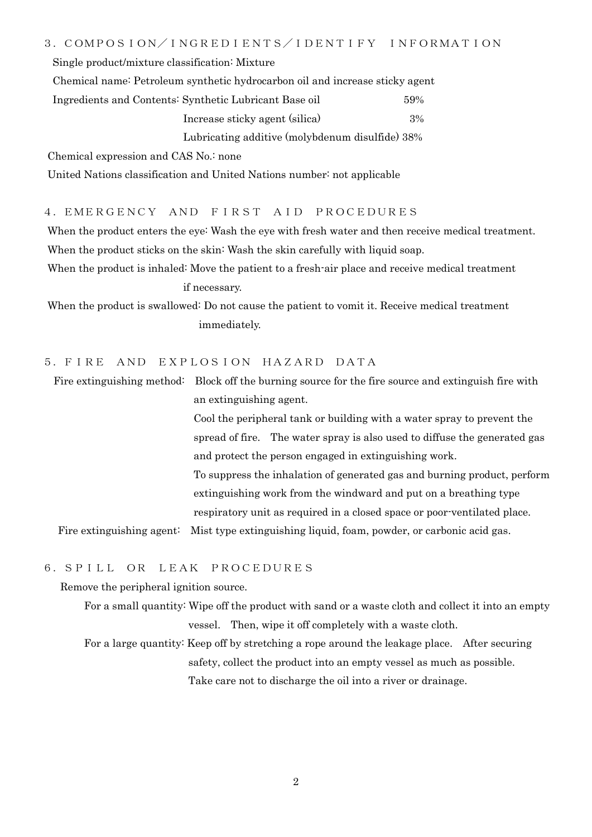Single product/mixture classification: Mixture

Chemical name: Petroleum synthetic hydrocarbon oil and increase sticky agent

 Ingredients and Contents: Synthetic Lubricant Base oil 59% Increase sticky agent (silica) 3%

Lubricating additive (molybdenum disulfide) 38%

Chemical expression and CAS No.: none

United Nations classification and United Nations number: not applicable

4.EMERGENCY AND FIRST AID PROCEDURES

When the product enters the eye: Wash the eye with fresh water and then receive medical treatment. When the product sticks on the skin: Wash the skin carefully with liquid soap.

When the product is inhaled: Move the patient to a fresh-air place and receive medical treatment if necessary.

When the product is swallowed: Do not cause the patient to vomit it. Receive medical treatment immediately.

# 5.FIRE AND EXPLOSION HAZARD DATA

Fire extinguishing method: Block off the burning source for the fire source and extinguish fire with an extinguishing agent.

> Cool the peripheral tank or building with a water spray to prevent the spread of fire. The water spray is also used to diffuse the generated gas and protect the person engaged in extinguishing work. To suppress the inhalation of generated gas and burning product, perform extinguishing work from the windward and put on a breathing type respiratory unit as required in a closed space or poor-ventilated place.

Fire extinguishing agent: Mist type extinguishing liquid, foam, powder, or carbonic acid gas.

# 6.SPILL OR LEAK PROCEDURES

Remove the peripheral ignition source.

 For a small quantity: Wipe off the product with sand or a waste cloth and collect it into an empty vessel. Then, wipe it off completely with a waste cloth.

 For a large quantity: Keep off by stretching a rope around the leakage place. After securing safety, collect the product into an empty vessel as much as possible. Take care not to discharge the oil into a river or drainage.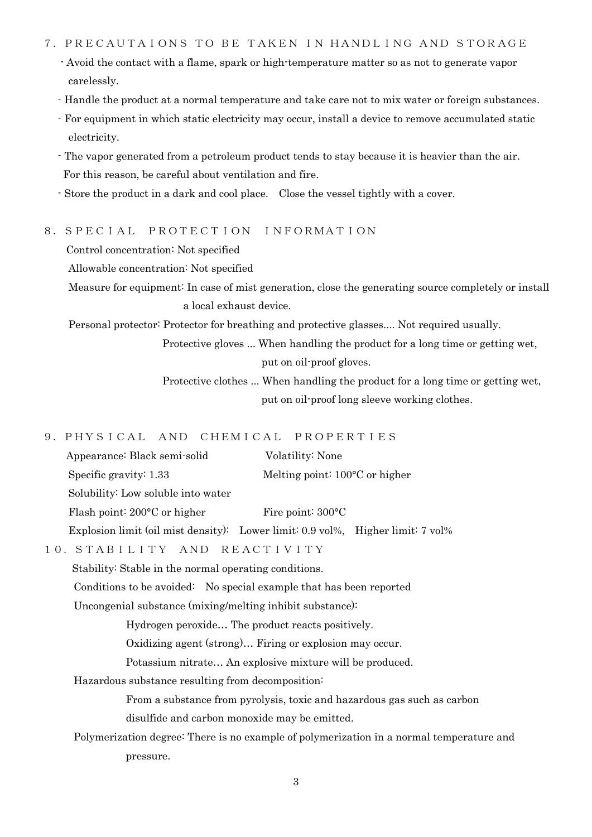#### 7.PRECAUTAIONS TO BE TAKEN IN HANDLING AND STORAGE

- Avoid the contact with a flame, spark or high-temperature matter so as not to generate vapor carelessly.
- Handle the product at a normal temperature and take care not to mix water or foreign substances.
- For equipment in which static electricity may occur, install a device to remove accumulated static electricity.
- The vapor generated from a petroleum product tends to stay because it is heavier than the air. For this reason, be careful about ventilation and fire.
- Store the product in a dark and cool place. Close the vessel tightly with a cover.

#### 8.SPECIAL PROTECTION INFORMATION

Control concentration: Not specified

Allowable concentration: Not specified

 Measure for equipment: In case of mist generation, close the generating source completely or install a local exhaust device.

Personal protector: Protector for breathing and protective glasses.... Not required usually.

 Protective gloves ... When handling the product for a long time or getting wet, put on oil-proof gloves.

 Protective clothes ... When handling the product for a long time or getting wet, put on oil-proof long sleeve working clothes.

# 9.PHYSICAL AND CHEMICAL PROPERTIES

|        | Appearance: Black semi-solid                                                    | Volatility: None                         |  |
|--------|---------------------------------------------------------------------------------|------------------------------------------|--|
|        | Specific gravity: $1.33$                                                        | Melting point: $100^{\circ}$ C or higher |  |
|        | Solubility: Low soluble into water                                              |                                          |  |
|        | Flash point: $200^{\circ}$ C or higher                                          | Fire point: $300^{\circ}$ C              |  |
|        | Explosion limit (oil mist density): Lower limit: 0.9 vol%, Higher limit: 7 vol% |                                          |  |
| $\sim$ | $\lambda$ , $\lambda$ $\tau$ , $\Gamma$                                         | D D A G T I I I I                        |  |

10.STABILITY AND REACTIVITY

Stability: Stable in the normal operating conditions.

Conditions to be avoided: No special example that has been reported

Uncongenial substance (mixing/melting inhibit substance):

Hydrogen peroxide… The product reacts positively.

Oxidizing agent (strong)… Firing or explosion may occur.

Potassium nitrate… An explosive mixture will be produced.

Hazardous substance resulting from decomposition:

 From a substance from pyrolysis, toxic and hazardous gas such as carbon disulfide and carbon monoxide may be emitted.

 Polymerization degree: There is no example of polymerization in a normal temperature and pressure.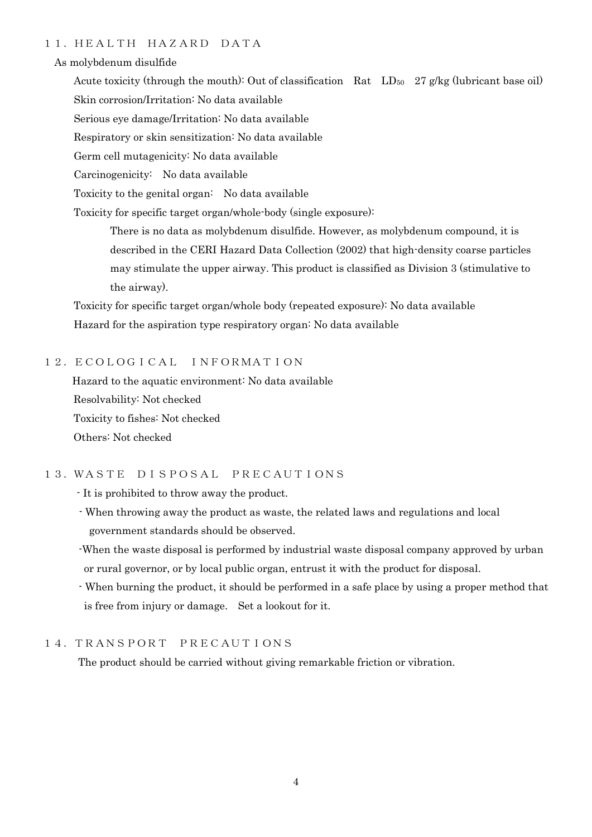## 11.HEALTH HAZARD DATA

#### As molybdenum disulfide

Acute toxicity (through the mouth): Out of classification Rat  $LD_{50}$  27 g/kg (lubricant base oil) Skin corrosion/Irritation: No data available

Serious eye damage/Irritation: No data available

Respiratory or skin sensitization: No data available

Germ cell mutagenicity: No data available

Carcinogenicity: No data available

Toxicity to the genital organ: No data available

Toxicity for specific target organ/whole-body (single exposure):

 There is no data as molybdenum disulfide. However, as molybdenum compound, it is described in the CERI Hazard Data Collection (2002) that high-density coarse particles may stimulate the upper airway. This product is classified as Division 3 (stimulative to the airway).

 Toxicity for specific target organ/whole body (repeated exposure): No data available Hazard for the aspiration type respiratory organ: No data available

#### 12.ECOLOGICAL INFORMATION

 Hazard to the aquatic environment: No data available Resolvability: Not checked Toxicity to fishes: Not checked Others: Not checked

# 13.WASTE DISPOSAL PRECAUTIONS

- It is prohibited to throw away the product.

 - When throwing away the product as waste, the related laws and regulations and local government standards should be observed.

 -When the waste disposal is performed by industrial waste disposal company approved by urban or rural governor, or by local public organ, entrust it with the product for disposal.

 - When burning the product, it should be performed in a safe place by using a proper method that is free from injury or damage. Set a lookout for it.

# 14.TRANSPORT PRECAUTIONS

The product should be carried without giving remarkable friction or vibration.